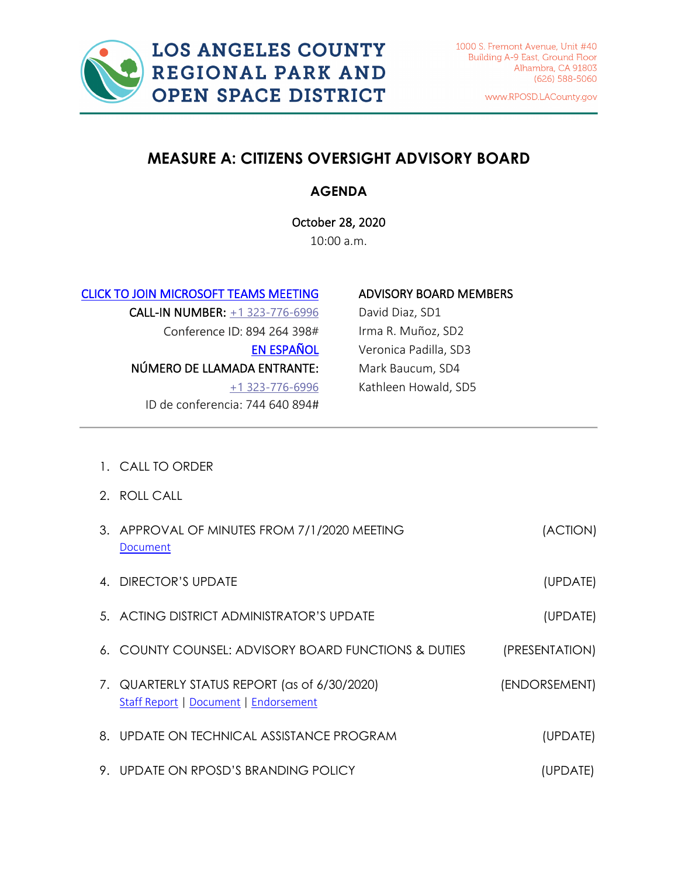

www.RPOSD.LACounty.gov

# **MEASURE A: CITIZENS OVERSIGHT ADVISORY BOARD**

# **AGENDA**

October 28, 2020 10:00 a.m.

[CLICK TO JOIN MICROSOFT TEAMS MEETING](https://teams.microsoft.com/l/meetup-join/19%3ameeting_ZmU1OTdiZjQtOGNmNy00Yjg0LTg2MTQtOGJiMjFhMDBlYzVk%40thread.v2/0?context=%7b%22Tid%22%3a%2207597248-ea38-451b-8abe-a638eddbac81%22%2c%22Oid%22%3a%229c25fd43-7cb6-4884-a10e-1a13ea05b00b%22%7d) 

CALL-IN NUMBER: [+1 323-776-6996](tel:+1%20323-776-6996,,645637000#%20) Conference ID: 894 264 398# [EN ESPAÑOL](https://teams.microsoft.com/l/meetup-join/19%3ameeting_YzFmOGM2OWQtODE4Ni00NjM0LTljMjUtNjhhYzZkMTNmNWE2%40thread.v2/0?context=%7b%22Tid%22%3a%2207597248-ea38-451b-8abe-a638eddbac81%22%2c%22Oid%22%3a%229c25fd43-7cb6-4884-a10e-1a13ea05b00b%22%7d)  NÚMERO DE LLAMADA ENTRANTE: [+1 323-776-6996](tel:+1%20323-776-6996,,645637000#%20) ID de conferencia: 744 640 894#

# ADVISORY BOARD MEMBERS

David Diaz, SD1 Irma R. Muñoz, SD2 Veronica Padilla, SD3 Mark Baucum, SD4 Kathleen Howald, SD5

- 1. CALL TO ORDER
- 2. ROLL CALL

|              | 3. APPROVAL OF MINUTES FROM 7/1/2020 MEETING<br>Document                              | (ACTION)       |
|--------------|---------------------------------------------------------------------------------------|----------------|
| $\mathbf{A}$ | DIRECTOR'S UPDATE                                                                     | (UPDATE)       |
|              | 5. ACTING DISTRICT ADMINISTRATOR'S UPDATE                                             | (UPDATE)       |
|              | 6. COUNTY COUNSEL: ADVISORY BOARD FUNCTIONS & DUTIES                                  | (PRESENTATION) |
|              | 7. QUARTERLY STATUS REPORT (as of 6/30/2020)<br>Staff Report   Document   Endorsement | (ENDORSEMENT)  |
|              | 8. UPDATE ON TECHNICAL ASSISTANCE PROGRAM                                             | (UPDATE)       |
|              | 9. UPDATE ON RPOSD'S BRANDING POLICY                                                  | (UPDATE)       |